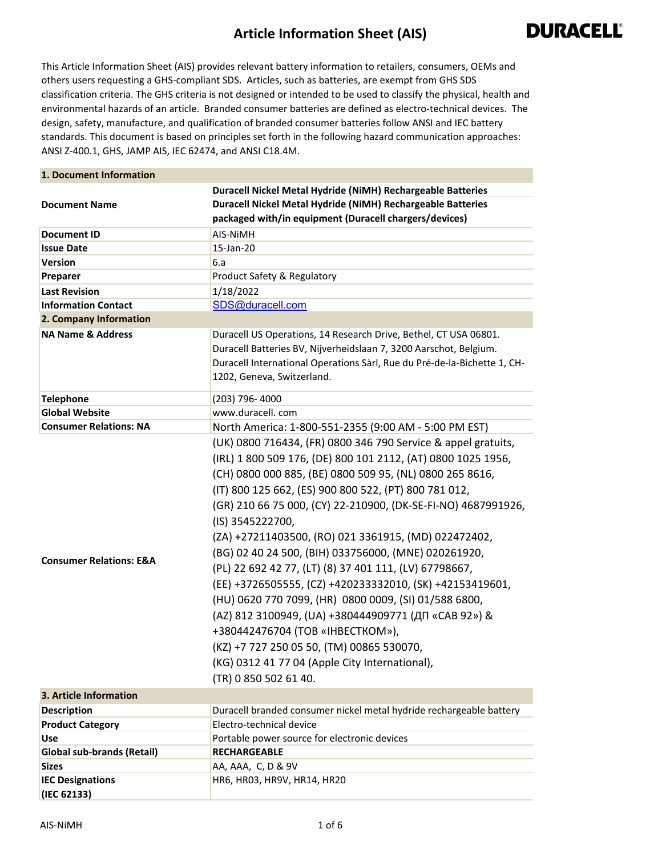## **Article Information Sheet (AIS)**



This Article Information Sheet (AIS) provides relevant battery information to retailers, consumers, OEMs and others users requesting a GHS-compliant SDS. Articles, such as batteries, are exempt from GHS SDS classification criteria. The GHS criteria is not designed or intended to be used to classify the physical, health and environmental hazards of an article. Branded consumer batteries are defined as electro-technical devices. The design, safety, manufacture, and qualification of branded consumer batteries follow ANSI and IEC battery standards. This document is based on principles set forth in the following hazard communication approaches: ANSI Z-400.1, GHS, JAMP AIS, IEC 62474, and ANSI C18.4M.

| 1. Document Information            |                                                                                                                                                                                                                                                                                                                                                                                                                                                                                                                                                                                                                                                                                                                                                                                                                                                            |
|------------------------------------|------------------------------------------------------------------------------------------------------------------------------------------------------------------------------------------------------------------------------------------------------------------------------------------------------------------------------------------------------------------------------------------------------------------------------------------------------------------------------------------------------------------------------------------------------------------------------------------------------------------------------------------------------------------------------------------------------------------------------------------------------------------------------------------------------------------------------------------------------------|
|                                    | Duracell Nickel Metal Hydride (NiMH) Rechargeable Batteries                                                                                                                                                                                                                                                                                                                                                                                                                                                                                                                                                                                                                                                                                                                                                                                                |
| <b>Document Name</b>               | Duracell Nickel Metal Hydride (NiMH) Rechargeable Batteries                                                                                                                                                                                                                                                                                                                                                                                                                                                                                                                                                                                                                                                                                                                                                                                                |
|                                    | packaged with/in equipment (Duracell chargers/devices)                                                                                                                                                                                                                                                                                                                                                                                                                                                                                                                                                                                                                                                                                                                                                                                                     |
| <b>Document ID</b>                 | AIS-NiMH                                                                                                                                                                                                                                                                                                                                                                                                                                                                                                                                                                                                                                                                                                                                                                                                                                                   |
| <b>Issue Date</b>                  | 15-Jan-20                                                                                                                                                                                                                                                                                                                                                                                                                                                                                                                                                                                                                                                                                                                                                                                                                                                  |
| <b>Version</b>                     | 6.a                                                                                                                                                                                                                                                                                                                                                                                                                                                                                                                                                                                                                                                                                                                                                                                                                                                        |
| Preparer                           | Product Safety & Regulatory                                                                                                                                                                                                                                                                                                                                                                                                                                                                                                                                                                                                                                                                                                                                                                                                                                |
| <b>Last Revision</b>               | 1/18/2022                                                                                                                                                                                                                                                                                                                                                                                                                                                                                                                                                                                                                                                                                                                                                                                                                                                  |
| <b>Information Contact</b>         | SDS@duracell.com                                                                                                                                                                                                                                                                                                                                                                                                                                                                                                                                                                                                                                                                                                                                                                                                                                           |
| 2. Company Information             |                                                                                                                                                                                                                                                                                                                                                                                                                                                                                                                                                                                                                                                                                                                                                                                                                                                            |
| <b>NA Name &amp; Address</b>       | Duracell US Operations, 14 Research Drive, Bethel, CT USA 06801.<br>Duracell Batteries BV, Nijverheidslaan 7, 3200 Aarschot, Belgium.<br>Duracell International Operations Sàrl, Rue du Pré-de-la-Bichette 1, CH-<br>1202, Geneva, Switzerland.                                                                                                                                                                                                                                                                                                                                                                                                                                                                                                                                                                                                            |
| <b>Telephone</b>                   | (203) 796-4000                                                                                                                                                                                                                                                                                                                                                                                                                                                                                                                                                                                                                                                                                                                                                                                                                                             |
| <b>Global Website</b>              | www.duracell.com                                                                                                                                                                                                                                                                                                                                                                                                                                                                                                                                                                                                                                                                                                                                                                                                                                           |
| <b>Consumer Relations: NA</b>      | North America: 1-800-551-2355 (9:00 AM - 5:00 PM EST)                                                                                                                                                                                                                                                                                                                                                                                                                                                                                                                                                                                                                                                                                                                                                                                                      |
| <b>Consumer Relations: E&amp;A</b> | (UK) 0800 716434, (FR) 0800 346 790 Service & appel gratuits,<br>(IRL) 1 800 509 176, (DE) 800 101 2112, (AT) 0800 1025 1956,<br>(CH) 0800 000 885, (BE) 0800 509 95, (NL) 0800 265 8616,<br>(IT) 800 125 662, (ES) 900 800 522, (PT) 800 781 012,<br>(GR) 210 66 75 000, (CY) 22-210900, (DK-SE-FI-NO) 4687991926,<br>(IS) 3545222700,<br>(ZA) +27211403500, (RO) 021 3361915, (MD) 022472402,<br>(BG) 02 40 24 500, (BIH) 033756000, (MNE) 020261920,<br>(PL) 22 692 42 77, (LT) (8) 37 401 111, (LV) 67798667,<br>(EE) +3726505555, (CZ) +420233332010, (SK) +42153419601,<br>(HU) 0620 770 7099, (HR) 0800 0009, (SI) 01/588 6800,<br>(AZ) 812 3100949, (UA) +380444909771 (ДП «САВ 92») &<br>+380442476704 (TOB «IHBECTKOM»),<br>(KZ) +7 727 250 05 50, (TM) 00865 530070,<br>(KG) 0312 41 77 04 (Apple City International),<br>(TR) 0 850 502 61 40. |
| 3. Article Information             |                                                                                                                                                                                                                                                                                                                                                                                                                                                                                                                                                                                                                                                                                                                                                                                                                                                            |
| <b>Description</b>                 | Duracell branded consumer nickel metal hydride rechargeable battery                                                                                                                                                                                                                                                                                                                                                                                                                                                                                                                                                                                                                                                                                                                                                                                        |
| <b>Product Category</b>            | Electro-technical device                                                                                                                                                                                                                                                                                                                                                                                                                                                                                                                                                                                                                                                                                                                                                                                                                                   |
| Use                                | Portable power source for electronic devices                                                                                                                                                                                                                                                                                                                                                                                                                                                                                                                                                                                                                                                                                                                                                                                                               |
| <b>Global sub-brands (Retail)</b>  | <b>RECHARGEABLE</b>                                                                                                                                                                                                                                                                                                                                                                                                                                                                                                                                                                                                                                                                                                                                                                                                                                        |
| <b>Sizes</b>                       | AA, AAA, C, D & 9V                                                                                                                                                                                                                                                                                                                                                                                                                                                                                                                                                                                                                                                                                                                                                                                                                                         |
| <b>IEC Designations</b>            | HR6, HR03, HR9V, HR14, HR20                                                                                                                                                                                                                                                                                                                                                                                                                                                                                                                                                                                                                                                                                                                                                                                                                                |
| (IEC 62133)                        |                                                                                                                                                                                                                                                                                                                                                                                                                                                                                                                                                                                                                                                                                                                                                                                                                                                            |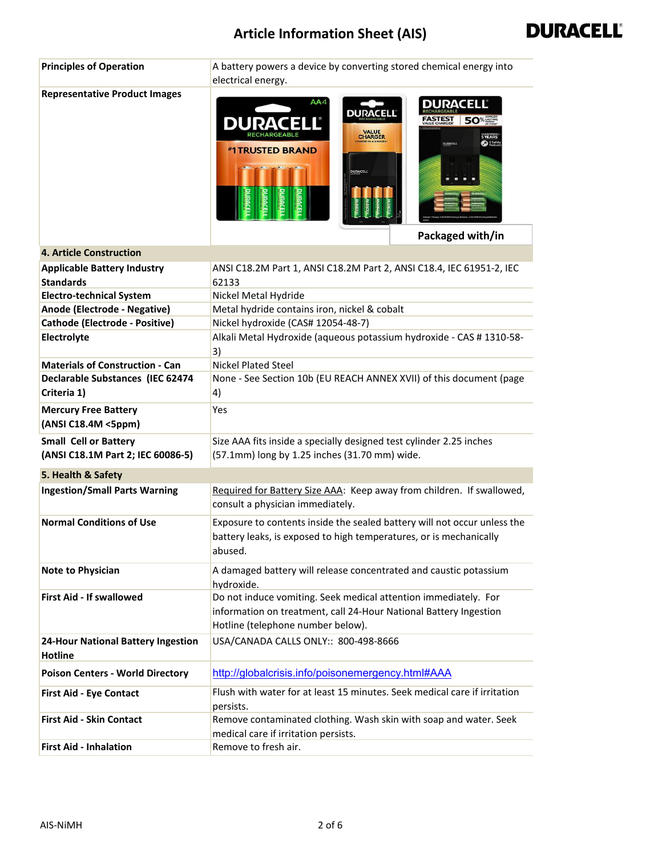## **Article Information Sheet (AIS)**



| <b>Principles of Operation</b>                                    | A battery powers a device by converting stored chemical energy into<br>electrical energy.                                                                                                           |
|-------------------------------------------------------------------|-----------------------------------------------------------------------------------------------------------------------------------------------------------------------------------------------------|
| <b>Representative Product Images</b>                              | AA4<br>DURACELL®<br><b>DURACELL</b><br><b>50</b> %<br>FASTEST<br>DURA<br><b>VALUE</b><br>CHARGER<br>5 YEARS<br><b>Desat</b><br><b>DURACELL</b><br><b><i>*1TRUSTED BRAND</i></b><br>Packaged with/in |
| <b>4. Article Construction</b>                                    |                                                                                                                                                                                                     |
| <b>Applicable Battery Industry</b>                                | ANSI C18.2M Part 1, ANSI C18.2M Part 2, ANSI C18.4, IEC 61951-2, IEC                                                                                                                                |
| <b>Standards</b>                                                  | 62133                                                                                                                                                                                               |
| <b>Electro-technical System</b>                                   | Nickel Metal Hydride                                                                                                                                                                                |
| Anode (Electrode - Negative)                                      | Metal hydride contains iron, nickel & cobalt                                                                                                                                                        |
| <b>Cathode (Electrode - Positive)</b>                             | Nickel hydroxide (CAS# 12054-48-7)                                                                                                                                                                  |
| Electrolyte                                                       | Alkali Metal Hydroxide (aqueous potassium hydroxide - CAS # 1310-58-                                                                                                                                |
|                                                                   | 3)                                                                                                                                                                                                  |
| <b>Materials of Construction - Can</b>                            | <b>Nickel Plated Steel</b>                                                                                                                                                                          |
| Declarable Substances (IEC 62474                                  | None - See Section 10b (EU REACH ANNEX XVII) of this document (page                                                                                                                                 |
| Criteria 1)                                                       | 4)                                                                                                                                                                                                  |
| <b>Mercury Free Battery</b><br>(ANSI C18.4M <5ppm)                | Yes                                                                                                                                                                                                 |
| <b>Small Cell or Battery</b><br>(ANSI C18.1M Part 2; IEC 60086-5) | Size AAA fits inside a specially designed test cylinder 2.25 inches<br>(57.1mm) long by 1.25 inches (31.70 mm) wide.                                                                                |
| 5. Health & Safety                                                |                                                                                                                                                                                                     |
| <b>Ingestion/Small Parts Warning</b>                              | Required for Battery Size AAA: Keep away from children. If swallowed,<br>consult a physician immediately.                                                                                           |
| <b>Normal Conditions of Use</b>                                   | Exposure to contents inside the sealed battery will not occur unless the<br>battery leaks, is exposed to high temperatures, or is mechanically<br>abused.                                           |
| <b>Note to Physician</b>                                          | A damaged battery will release concentrated and caustic potassium<br>hydroxide.                                                                                                                     |
| <b>First Aid - If swallowed</b>                                   | Do not induce vomiting. Seek medical attention immediately. For<br>information on treatment, call 24-Hour National Battery Ingestion<br>Hotline (telephone number below).                           |
| <b>24-Hour National Battery Ingestion</b><br><b>Hotline</b>       | USA/CANADA CALLS ONLY:: 800-498-8666                                                                                                                                                                |
| <b>Poison Centers - World Directory</b>                           | http://globalcrisis.info/poisonemergency.html#AAA                                                                                                                                                   |
| <b>First Aid - Eye Contact</b>                                    | Flush with water for at least 15 minutes. Seek medical care if irritation<br>persists.                                                                                                              |
| <b>First Aid - Skin Contact</b>                                   | Remove contaminated clothing. Wash skin with soap and water. Seek                                                                                                                                   |
|                                                                   | medical care if irritation persists.                                                                                                                                                                |
| <b>First Aid - Inhalation</b>                                     | Remove to fresh air.                                                                                                                                                                                |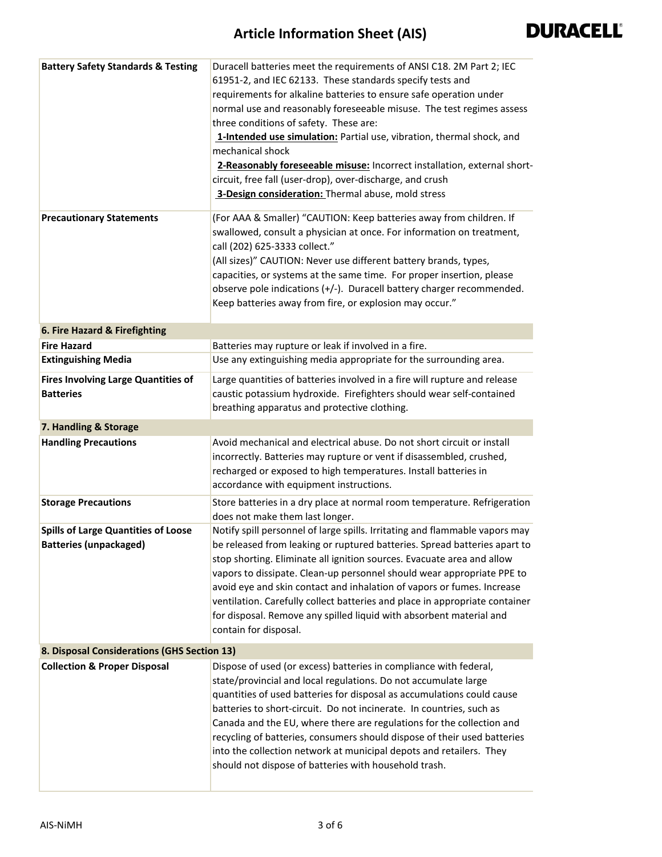| <b>Battery Safety Standards &amp; Testing</b>                               | Duracell batteries meet the requirements of ANSI C18. 2M Part 2; IEC<br>61951-2, and IEC 62133. These standards specify tests and<br>requirements for alkaline batteries to ensure safe operation under<br>normal use and reasonably foreseeable misuse. The test regimes assess<br>three conditions of safety. These are:<br>1-Intended use simulation: Partial use, vibration, thermal shock, and<br>mechanical shock<br>2-Reasonably foreseeable misuse: Incorrect installation, external short-<br>circuit, free fall (user-drop), over-discharge, and crush<br>3-Design consideration: Thermal abuse, mold stress |
|-----------------------------------------------------------------------------|------------------------------------------------------------------------------------------------------------------------------------------------------------------------------------------------------------------------------------------------------------------------------------------------------------------------------------------------------------------------------------------------------------------------------------------------------------------------------------------------------------------------------------------------------------------------------------------------------------------------|
| <b>Precautionary Statements</b>                                             | (For AAA & Smaller) "CAUTION: Keep batteries away from children. If<br>swallowed, consult a physician at once. For information on treatment,<br>call (202) 625-3333 collect."<br>(All sizes)" CAUTION: Never use different battery brands, types,<br>capacities, or systems at the same time. For proper insertion, please<br>observe pole indications (+/-). Duracell battery charger recommended.<br>Keep batteries away from fire, or explosion may occur."                                                                                                                                                         |
| 6. Fire Hazard & Firefighting                                               |                                                                                                                                                                                                                                                                                                                                                                                                                                                                                                                                                                                                                        |
| <b>Fire Hazard</b>                                                          | Batteries may rupture or leak if involved in a fire.                                                                                                                                                                                                                                                                                                                                                                                                                                                                                                                                                                   |
| <b>Extinguishing Media</b>                                                  | Use any extinguishing media appropriate for the surrounding area.                                                                                                                                                                                                                                                                                                                                                                                                                                                                                                                                                      |
| <b>Fires Involving Large Quantities of</b><br><b>Batteries</b>              | Large quantities of batteries involved in a fire will rupture and release<br>caustic potassium hydroxide. Firefighters should wear self-contained<br>breathing apparatus and protective clothing.                                                                                                                                                                                                                                                                                                                                                                                                                      |
| 7. Handling & Storage                                                       |                                                                                                                                                                                                                                                                                                                                                                                                                                                                                                                                                                                                                        |
| <b>Handling Precautions</b>                                                 | Avoid mechanical and electrical abuse. Do not short circuit or install<br>incorrectly. Batteries may rupture or vent if disassembled, crushed,<br>recharged or exposed to high temperatures. Install batteries in<br>accordance with equipment instructions.                                                                                                                                                                                                                                                                                                                                                           |
| <b>Storage Precautions</b>                                                  | Store batteries in a dry place at normal room temperature. Refrigeration<br>does not make them last longer.                                                                                                                                                                                                                                                                                                                                                                                                                                                                                                            |
| <b>Spills of Large Quantities of Loose</b><br><b>Batteries (unpackaged)</b> | Notify spill personnel of large spills. Irritating and flammable vapors may<br>be released from leaking or ruptured batteries. Spread batteries apart to<br>stop shorting. Eliminate all ignition sources. Evacuate area and allow<br>vapors to dissipate. Clean-up personnel should wear appropriate PPE to<br>avoid eye and skin contact and inhalation of vapors or fumes. Increase<br>ventilation. Carefully collect batteries and place in appropriate container<br>for disposal. Remove any spilled liquid with absorbent material and<br>contain for disposal.                                                  |
| 8. Disposal Considerations (GHS Section 13)                                 |                                                                                                                                                                                                                                                                                                                                                                                                                                                                                                                                                                                                                        |
| <b>Collection &amp; Proper Disposal</b>                                     | Dispose of used (or excess) batteries in compliance with federal,<br>state/provincial and local regulations. Do not accumulate large<br>quantities of used batteries for disposal as accumulations could cause<br>batteries to short-circuit. Do not incinerate. In countries, such as<br>Canada and the EU, where there are regulations for the collection and<br>recycling of batteries, consumers should dispose of their used batteries<br>into the collection network at municipal depots and retailers. They<br>should not dispose of batteries with household trash.                                            |

L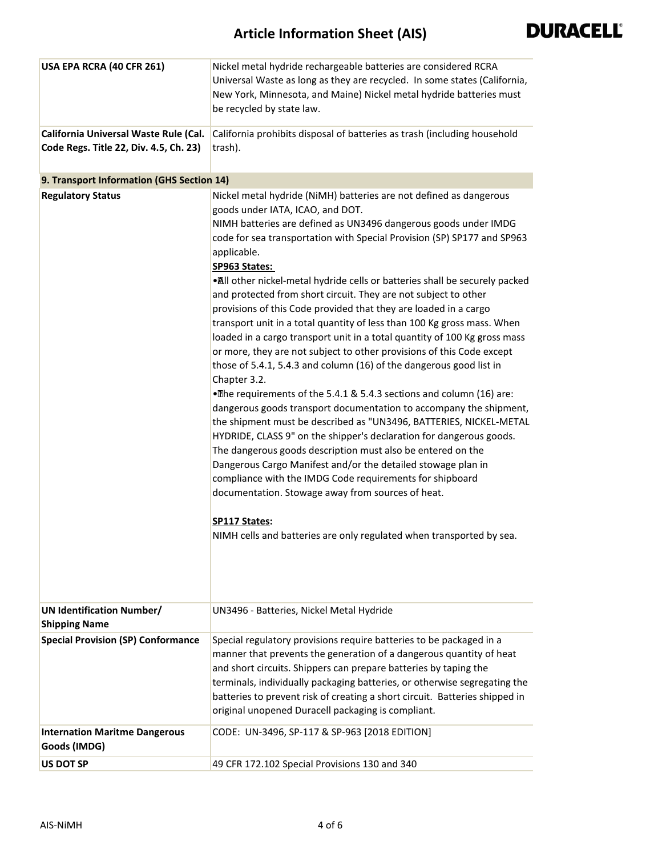| USA EPA RCRA (40 CFR 261)                                                       | Nickel metal hydride rechargeable batteries are considered RCRA<br>Universal Waste as long as they are recycled. In some states (California,<br>New York, Minnesota, and Maine) Nickel metal hydride batteries must<br>be recycled by state law.                                                                                                                                                                                                                                                                                                                                                                                                                                                                                                                                                                                                                                                                                                                                                                                                                                                                                                                                                                                                                                                                                                                                                  |
|---------------------------------------------------------------------------------|---------------------------------------------------------------------------------------------------------------------------------------------------------------------------------------------------------------------------------------------------------------------------------------------------------------------------------------------------------------------------------------------------------------------------------------------------------------------------------------------------------------------------------------------------------------------------------------------------------------------------------------------------------------------------------------------------------------------------------------------------------------------------------------------------------------------------------------------------------------------------------------------------------------------------------------------------------------------------------------------------------------------------------------------------------------------------------------------------------------------------------------------------------------------------------------------------------------------------------------------------------------------------------------------------------------------------------------------------------------------------------------------------|
| California Universal Waste Rule (Cal.<br>Code Regs. Title 22, Div. 4.5, Ch. 23) | California prohibits disposal of batteries as trash (including household<br>trash).                                                                                                                                                                                                                                                                                                                                                                                                                                                                                                                                                                                                                                                                                                                                                                                                                                                                                                                                                                                                                                                                                                                                                                                                                                                                                                               |
| 9. Transport Information (GHS Section 14)                                       |                                                                                                                                                                                                                                                                                                                                                                                                                                                                                                                                                                                                                                                                                                                                                                                                                                                                                                                                                                                                                                                                                                                                                                                                                                                                                                                                                                                                   |
| <b>Regulatory Status</b>                                                        | Nickel metal hydride (NiMH) batteries are not defined as dangerous                                                                                                                                                                                                                                                                                                                                                                                                                                                                                                                                                                                                                                                                                                                                                                                                                                                                                                                                                                                                                                                                                                                                                                                                                                                                                                                                |
|                                                                                 | goods under IATA, ICAO, and DOT.<br>NIMH batteries are defined as UN3496 dangerous goods under IMDG<br>code for sea transportation with Special Provision (SP) SP177 and SP963<br>applicable.<br>SP963 States:<br>. All other nickel-metal hydride cells or batteries shall be securely packed<br>and protected from short circuit. They are not subject to other<br>provisions of this Code provided that they are loaded in a cargo<br>transport unit in a total quantity of less than 100 Kg gross mass. When<br>loaded in a cargo transport unit in a total quantity of 100 Kg gross mass<br>or more, they are not subject to other provisions of this Code except<br>those of 5.4.1, 5.4.3 and column (16) of the dangerous good list in<br>Chapter 3.2.<br>•The requirements of the 5.4.1 & 5.4.3 sections and column (16) are:<br>dangerous goods transport documentation to accompany the shipment,<br>the shipment must be described as "UN3496, BATTERIES, NICKEL-METAL<br>HYDRIDE, CLASS 9" on the shipper's declaration for dangerous goods.<br>The dangerous goods description must also be entered on the<br>Dangerous Cargo Manifest and/or the detailed stowage plan in<br>compliance with the IMDG Code requirements for shipboard<br>documentation. Stowage away from sources of heat.<br>SP117 States:<br>NIMH cells and batteries are only regulated when transported by sea. |
| <b>UN Identification Number/</b><br><b>Shipping Name</b>                        | UN3496 - Batteries, Nickel Metal Hydride                                                                                                                                                                                                                                                                                                                                                                                                                                                                                                                                                                                                                                                                                                                                                                                                                                                                                                                                                                                                                                                                                                                                                                                                                                                                                                                                                          |
| <b>Special Provision (SP) Conformance</b>                                       | Special regulatory provisions require batteries to be packaged in a<br>manner that prevents the generation of a dangerous quantity of heat<br>and short circuits. Shippers can prepare batteries by taping the<br>terminals, individually packaging batteries, or otherwise segregating the<br>batteries to prevent risk of creating a short circuit. Batteries shipped in<br>original unopened Duracell packaging is compliant.                                                                                                                                                                                                                                                                                                                                                                                                                                                                                                                                                                                                                                                                                                                                                                                                                                                                                                                                                                  |
| <b>Internation Maritme Dangerous</b><br>Goods (IMDG)                            | CODE: UN-3496, SP-117 & SP-963 [2018 EDITION]                                                                                                                                                                                                                                                                                                                                                                                                                                                                                                                                                                                                                                                                                                                                                                                                                                                                                                                                                                                                                                                                                                                                                                                                                                                                                                                                                     |
| <b>US DOT SP</b>                                                                | 49 CFR 172.102 Special Provisions 130 and 340                                                                                                                                                                                                                                                                                                                                                                                                                                                                                                                                                                                                                                                                                                                                                                                                                                                                                                                                                                                                                                                                                                                                                                                                                                                                                                                                                     |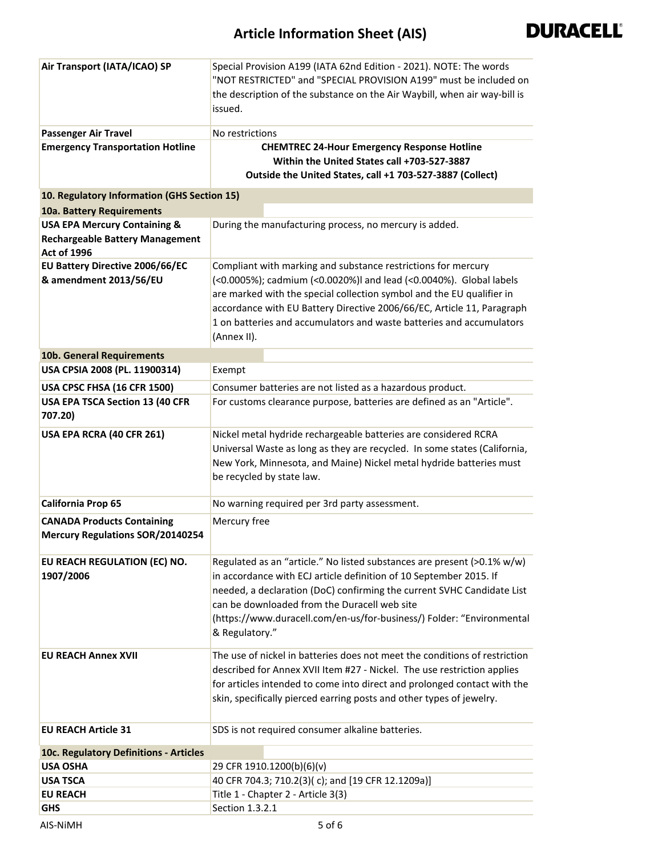## **Article Information Sheet (AIS)**



| Air Transport (IATA/ICAO) SP                                                                            | Special Provision A199 (IATA 62nd Edition - 2021). NOTE: The words<br>"NOT RESTRICTED" and "SPECIAL PROVISION A199" must be included on<br>the description of the substance on the Air Waybill, when air way-bill is<br>issued.                                                                                                                                               |
|---------------------------------------------------------------------------------------------------------|-------------------------------------------------------------------------------------------------------------------------------------------------------------------------------------------------------------------------------------------------------------------------------------------------------------------------------------------------------------------------------|
| <b>Passenger Air Travel</b>                                                                             | No restrictions                                                                                                                                                                                                                                                                                                                                                               |
| <b>Emergency Transportation Hotline</b>                                                                 | <b>CHEMTREC 24-Hour Emergency Response Hotline</b><br>Within the United States call +703-527-3887<br>Outside the United States, call +1 703-527-3887 (Collect)                                                                                                                                                                                                                |
| 10. Regulatory Information (GHS Section 15)                                                             |                                                                                                                                                                                                                                                                                                                                                                               |
| 10a. Battery Requirements                                                                               |                                                                                                                                                                                                                                                                                                                                                                               |
| <b>USA EPA Mercury Containing &amp;</b><br><b>Rechargeable Battery Management</b><br><b>Act of 1996</b> | During the manufacturing process, no mercury is added.                                                                                                                                                                                                                                                                                                                        |
| EU Battery Directive 2006/66/EC<br>& amendment 2013/56/EU                                               | Compliant with marking and substance restrictions for mercury<br>(<0.0005%); cadmium (<0.0020%)I and lead (<0.0040%). Global labels<br>are marked with the special collection symbol and the EU qualifier in<br>accordance with EU Battery Directive 2006/66/EC, Article 11, Paragraph<br>1 on batteries and accumulators and waste batteries and accumulators<br>(Annex II). |
| 10b. General Requirements                                                                               |                                                                                                                                                                                                                                                                                                                                                                               |
| USA CPSIA 2008 (PL. 11900314)                                                                           | Exempt                                                                                                                                                                                                                                                                                                                                                                        |
| USA CPSC FHSA (16 CFR 1500)                                                                             | Consumer batteries are not listed as a hazardous product.                                                                                                                                                                                                                                                                                                                     |
| USA EPA TSCA Section 13 (40 CFR<br>707.20)                                                              | For customs clearance purpose, batteries are defined as an "Article".                                                                                                                                                                                                                                                                                                         |
| USA EPA RCRA (40 CFR 261)                                                                               | Nickel metal hydride rechargeable batteries are considered RCRA<br>Universal Waste as long as they are recycled. In some states (California,<br>New York, Minnesota, and Maine) Nickel metal hydride batteries must<br>be recycled by state law.                                                                                                                              |
| California Prop 65                                                                                      | No warning required per 3rd party assessment.                                                                                                                                                                                                                                                                                                                                 |
| <b>CANADA Products Containing</b>                                                                       | Mercury free                                                                                                                                                                                                                                                                                                                                                                  |
| <b>Mercury Regulations SOR/20140254</b>                                                                 |                                                                                                                                                                                                                                                                                                                                                                               |
| EU REACH REGULATION (EC) NO.<br>1907/2006                                                               | Regulated as an "article." No listed substances are present (>0.1% w/w)<br>in accordance with ECJ article definition of 10 September 2015. If<br>needed, a declaration (DoC) confirming the current SVHC Candidate List<br>can be downloaded from the Duracell web site<br>(https://www.duracell.com/en-us/for-business/) Folder: "Environmental<br>& Regulatory."            |
| <b>EU REACH Annex XVII</b>                                                                              | The use of nickel in batteries does not meet the conditions of restriction<br>described for Annex XVII Item #27 - Nickel. The use restriction applies<br>for articles intended to come into direct and prolonged contact with the<br>skin, specifically pierced earring posts and other types of jewelry.                                                                     |
| <b>EU REACH Article 31</b>                                                                              | SDS is not required consumer alkaline batteries.                                                                                                                                                                                                                                                                                                                              |
| 10c. Regulatory Definitions - Articles                                                                  |                                                                                                                                                                                                                                                                                                                                                                               |
| <b>USA OSHA</b>                                                                                         | 29 CFR 1910.1200(b)(6)(v)                                                                                                                                                                                                                                                                                                                                                     |
| USA TSCA                                                                                                | 40 CFR 704.3; 710.2(3)(c); and [19 CFR 12.1209a)]                                                                                                                                                                                                                                                                                                                             |
| <b>EU REACH</b>                                                                                         | Title 1 - Chapter 2 - Article 3(3)                                                                                                                                                                                                                                                                                                                                            |
| <b>GHS</b>                                                                                              | Section 1.3.2.1                                                                                                                                                                                                                                                                                                                                                               |